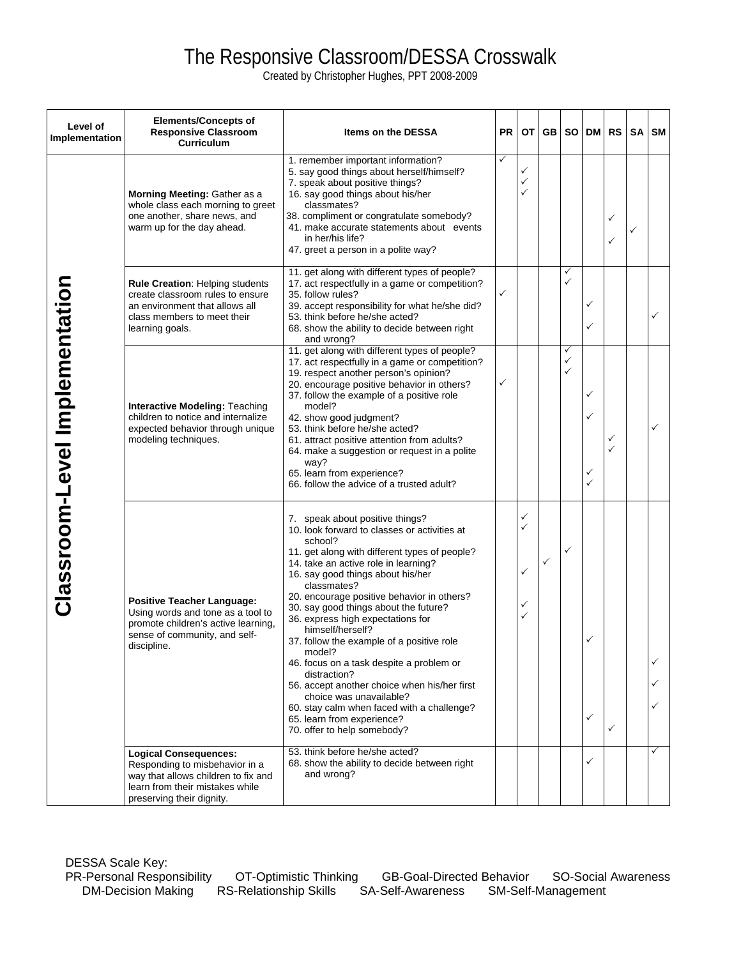## The Responsive Classroom/DESSA Crosswalk

Created by Christopher Hughes, PPT 2008-2009

| Level of<br>Implementation     | <b>Elements/Concepts of</b><br><b>Responsive Classroom</b><br>Curriculum                                                                                              | <b>Items on the DESSA</b>                                                                                                                                                                                                                                                                                                                                                                                                                                                                                                                                                                                                                                                                        | <b>PR</b> |                  | OT GB        | <b>SO</b>   | DM                                     | RS     | SA | SM           |
|--------------------------------|-----------------------------------------------------------------------------------------------------------------------------------------------------------------------|--------------------------------------------------------------------------------------------------------------------------------------------------------------------------------------------------------------------------------------------------------------------------------------------------------------------------------------------------------------------------------------------------------------------------------------------------------------------------------------------------------------------------------------------------------------------------------------------------------------------------------------------------------------------------------------------------|-----------|------------------|--------------|-------------|----------------------------------------|--------|----|--------------|
| Classroom-Level Implementation | Morning Meeting: Gather as a<br>whole class each morning to greet<br>one another, share news, and<br>warm up for the day ahead.                                       | 1. remember important information?<br>5. say good things about herself/himself?<br>7. speak about positive things?<br>16. say good things about his/her<br>classmates?<br>38. compliment or congratulate somebody?<br>41. make accurate statements about events<br>in her/his life?<br>47. greet a person in a polite way?                                                                                                                                                                                                                                                                                                                                                                       | ✓         | ✓<br>✓<br>✓      |              |             |                                        | ✓<br>✓ |    |              |
|                                | Rule Creation: Helping students<br>create classroom rules to ensure<br>an environment that allows all<br>class members to meet their<br>learning goals.               | 11. get along with different types of people?<br>17. act respectfully in a game or competition?<br>35. follow rules?<br>39. accept responsibility for what he/she did?<br>53. think before he/she acted?<br>68. show the ability to decide between right<br>and wrong?                                                                                                                                                                                                                                                                                                                                                                                                                           | ✓         |                  |              | ✓<br>✓      | ✓                                      |        |    |              |
|                                | <b>Interactive Modeling: Teaching</b><br>children to notice and internalize<br>expected behavior through unique<br>modeling techniques.                               | 11. get along with different types of people?<br>17. act respectfully in a game or competition?<br>19. respect another person's opinion?<br>20. encourage positive behavior in others?<br>37. follow the example of a positive role<br>model?<br>42. show good judgment?<br>53. think before he/she acted?<br>61. attract positive attention from adults?<br>64. make a suggestion or request in a polite<br>way?<br>65. learn from experience?<br>66. follow the advice of a trusted adult?                                                                                                                                                                                                     | ✓         |                  |              | ✓<br>✓<br>✓ | $\checkmark$<br>✓<br>✓<br>$\checkmark$ | ✓      |    | ✓            |
|                                | <b>Positive Teacher Language:</b><br>Using words and tone as a tool to<br>promote children's active learning,<br>sense of community, and self-<br>discipline.         | 7. speak about positive things?<br>10. look forward to classes or activities at<br>school?<br>11. get along with different types of people?<br>14. take an active role in learning?<br>16. say good things about his/her<br>classmates?<br>20. encourage positive behavior in others?<br>30. say good things about the future?<br>36. express high expectations for<br>himself/herself?<br>37. follow the example of a positive role<br>model?<br>46. focus on a task despite a problem or<br>distraction?<br>56. accept another choice when his/her first<br>choice was unavailable?<br>60. stay calm when faced with a challenge?<br>65. learn from experience?<br>70. offer to help somebody? |           | ✓<br>✓<br>✓<br>✓ | $\checkmark$ | ✓           | $\checkmark$                           | ✓      |    |              |
|                                | <b>Logical Consequences:</b><br>Responding to misbehavior in a<br>way that allows children to fix and<br>learn from their mistakes while<br>preserving their dignity. | 53. think before he/she acted?<br>68. show the ability to decide between right<br>and wrong?                                                                                                                                                                                                                                                                                                                                                                                                                                                                                                                                                                                                     |           |                  |              |             | ✓                                      |        |    | $\checkmark$ |

DESSA Scale Key: PR-Personal Responsibility OT-Optimistic Thinking GB-Goal-Directed Behavior SO-Social Awareness DM-Decision Making RS-Relationship Skills SA-Self-Awareness SM-Self-Management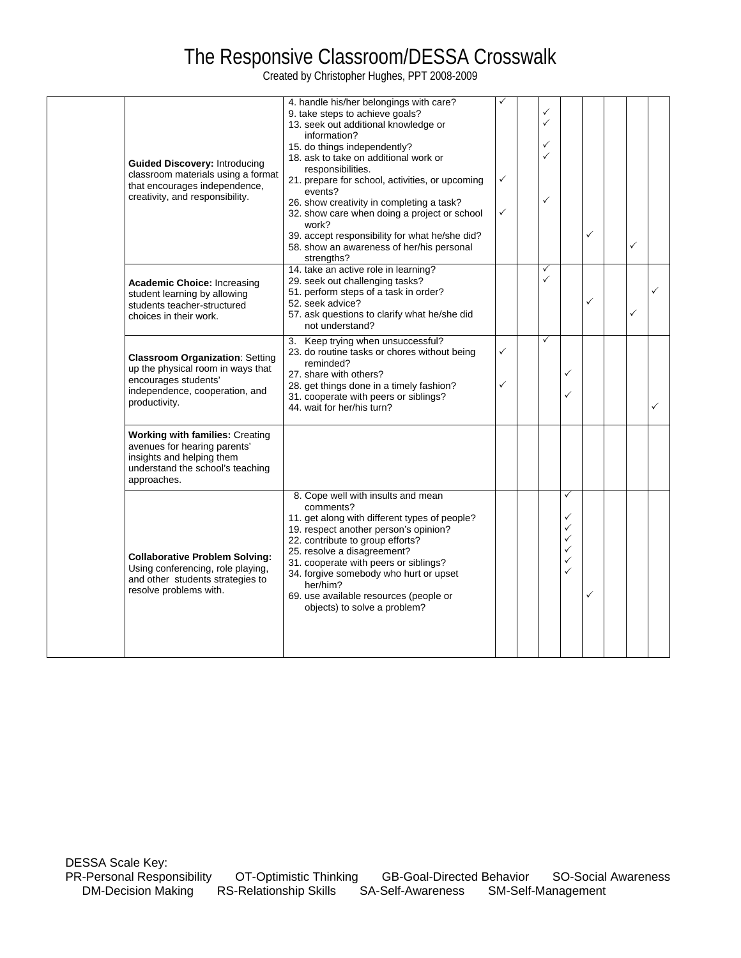## The Responsive Classroom/DESSA Crosswalk

Created by Christopher Hughes, PPT 2008-2009

|  | <b>Guided Discovery: Introducing</b><br>classroom materials using a format<br>that encourages independence,<br>creativity, and responsibility.         | 4. handle his/her belongings with care?<br>9. take steps to achieve goals?<br>13. seek out additional knowledge or<br>information?<br>15. do things independently?<br>18. ask to take on additional work or<br>responsibilities.<br>21. prepare for school, activities, or upcoming<br>events?<br>26. show creativity in completing a task?<br>32. show care when doing a project or school<br>work?<br>39. accept responsibility for what he/she did?<br>58. show an awareness of her/his personal<br>strengths? | ✓<br>✓ | ✓<br>$\checkmark$<br>✓<br>✓<br>✓ |                                                                        | $\checkmark$ | ✓ |   |
|--|--------------------------------------------------------------------------------------------------------------------------------------------------------|-------------------------------------------------------------------------------------------------------------------------------------------------------------------------------------------------------------------------------------------------------------------------------------------------------------------------------------------------------------------------------------------------------------------------------------------------------------------------------------------------------------------|--------|----------------------------------|------------------------------------------------------------------------|--------------|---|---|
|  | <b>Academic Choice: Increasing</b><br>student learning by allowing<br>students teacher-structured<br>choices in their work.                            | 14. take an active role in learning?<br>29. seek out challenging tasks?<br>51. perform steps of a task in order?<br>52. seek advice?<br>57. ask questions to clarify what he/she did<br>not understand?                                                                                                                                                                                                                                                                                                           |        | $\checkmark$                     |                                                                        | $\checkmark$ | ✓ |   |
|  | <b>Classroom Organization: Setting</b><br>up the physical room in ways that<br>encourages students'<br>independence, cooperation, and<br>productivity. | 3. Keep trying when unsuccessful?<br>23. do routine tasks or chores without being<br>reminded?<br>27. share with others?<br>28. get things done in a timely fashion?<br>31. cooperate with peers or siblings?<br>44. wait for her/his turn?                                                                                                                                                                                                                                                                       | ✓<br>✓ | $\checkmark$                     | $\checkmark$                                                           |              |   | ✓ |
|  | <b>Working with families: Creating</b><br>avenues for hearing parents'<br>insights and helping them<br>understand the school's teaching<br>approaches. |                                                                                                                                                                                                                                                                                                                                                                                                                                                                                                                   |        |                                  |                                                                        |              |   |   |
|  | <b>Collaborative Problem Solving:</b><br>Using conferencing, role playing,<br>and other students strategies to<br>resolve problems with.               | 8. Cope well with insults and mean<br>comments?<br>11. get along with different types of people?<br>19. respect another person's opinion?<br>22. contribute to group efforts?<br>25. resolve a disagreement?<br>31. cooperate with peers or siblings?<br>34. forgive somebody who hurt or upset<br>her/him?<br>69. use available resources (people or<br>objects) to solve a problem?                                                                                                                             |        |                                  | ✓<br>$\checkmark$<br>$\checkmark$<br>✓<br>$\checkmark$<br>$\checkmark$ | $\checkmark$ |   |   |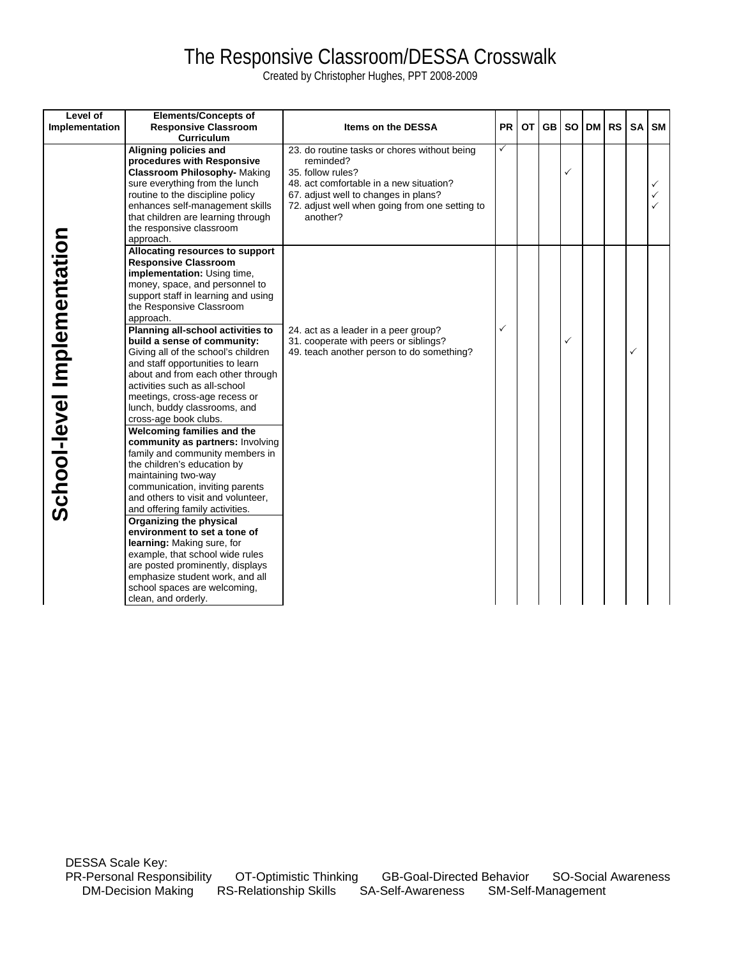# The Responsive Classroom/DESSA Crosswalk

Created by Christopher Hughes, PPT 2008-2009

| Level of<br>Implementation  | <b>Elements/Concepts of</b><br><b>Responsive Classroom</b><br><b>Curriculum</b>                                                                                                                                                                                                                                                                                                                                                                                                                                                                                                                                                                                                                                                                                                                                                                                                                                                                                                                                                                                 | <b>Items on the DESSA</b>                                                                                                                                                                                                       | <b>PR</b> | <b>OT</b> | <b>GB</b> | <b>SO</b> | DM I | <b>RS</b> | <b>SA</b> | <b>SM</b>                                    |
|-----------------------------|-----------------------------------------------------------------------------------------------------------------------------------------------------------------------------------------------------------------------------------------------------------------------------------------------------------------------------------------------------------------------------------------------------------------------------------------------------------------------------------------------------------------------------------------------------------------------------------------------------------------------------------------------------------------------------------------------------------------------------------------------------------------------------------------------------------------------------------------------------------------------------------------------------------------------------------------------------------------------------------------------------------------------------------------------------------------|---------------------------------------------------------------------------------------------------------------------------------------------------------------------------------------------------------------------------------|-----------|-----------|-----------|-----------|------|-----------|-----------|----------------------------------------------|
|                             | Aligning policies and<br>procedures with Responsive<br><b>Classroom Philosophy-Making</b><br>sure everything from the lunch<br>routine to the discipline policy<br>enhances self-management skills<br>that children are learning through<br>the responsive classroom<br>approach.                                                                                                                                                                                                                                                                                                                                                                                                                                                                                                                                                                                                                                                                                                                                                                               | 23. do routine tasks or chores without being<br>reminded?<br>35. follow rules?<br>48, act comfortable in a new situation?<br>67. adjust well to changes in plans?<br>72. adjust well when going from one setting to<br>another? | ✓         |           |           | ✓         |      |           |           | $\checkmark$<br>$\checkmark$<br>$\checkmark$ |
| School-level Implementation | Allocating resources to support<br><b>Responsive Classroom</b><br>implementation: Using time,<br>money, space, and personnel to<br>support staff in learning and using<br>the Responsive Classroom<br>approach.<br>Planning all-school activities to<br>build a sense of community:<br>Giving all of the school's children<br>and staff opportunities to learn<br>about and from each other through<br>activities such as all-school<br>meetings, cross-age recess or<br>lunch, buddy classrooms, and<br>cross-age book clubs.<br>Welcoming families and the<br>community as partners: Involving<br>family and community members in<br>the children's education by<br>maintaining two-way<br>communication, inviting parents<br>and others to visit and volunteer,<br>and offering family activities.<br>Organizing the physical<br>environment to set a tone of<br>learning: Making sure, for<br>example, that school wide rules<br>are posted prominently, displays<br>emphasize student work, and all<br>school spaces are welcoming,<br>clean, and orderly. | 24. act as a leader in a peer group?<br>31. cooperate with peers or siblings?<br>49. teach another person to do something?                                                                                                      | ✓         |           |           | ✓         |      |           | ✓         |                                              |